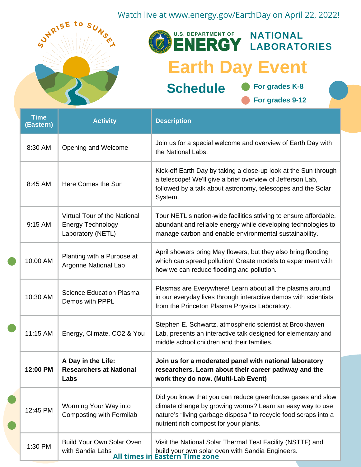

|  | <b>Time</b><br>(Eastern) | <b>Activity</b>                                                               | <b>Description</b>                                                                                                                                                                                                                    |
|--|--------------------------|-------------------------------------------------------------------------------|---------------------------------------------------------------------------------------------------------------------------------------------------------------------------------------------------------------------------------------|
|  | 8:30 AM                  | Opening and Welcome                                                           | Join us for a special welcome and overview of Earth Day with<br>the National Labs.                                                                                                                                                    |
|  | 8:45 AM                  | Here Comes the Sun                                                            | Kick-off Earth Day by taking a close-up look at the Sun through<br>a telescope! We'll give a brief overview of Jefferson Lab,<br>followed by a talk about astronomy, telescopes and the Solar<br>System.                              |
|  | 9:15 AM                  | Virtual Tour of the National<br><b>Energy Technology</b><br>Laboratory (NETL) | Tour NETL's nation-wide facilities striving to ensure affordable,<br>abundant and reliable energy while developing technologies to<br>manage carbon and enable environmental sustainability.                                          |
|  | 10:00 AM                 | Planting with a Purpose at<br>Argonne National Lab                            | April showers bring May flowers, but they also bring flooding<br>which can spread pollution! Create models to experiment with<br>how we can reduce flooding and pollution.                                                            |
|  | 10:30 AM                 | <b>Science Education Plasma</b><br>Demos with PPPL                            | Plasmas are Everywhere! Learn about all the plasma around<br>in our everyday lives through interactive demos with scientists<br>from the Princeton Plasma Physics Laboratory.                                                         |
|  | 11:15 AM                 | Energy, Climate, CO2 & You                                                    | Stephen E. Schwartz, atmospheric scientist at Brookhaven<br>Lab, presents an interactive talk designed for elementary and<br>middle school children and their families.                                                               |
|  | 12:00 PM                 | A Day in the Life:<br><b>Researchers at National</b><br>Labs                  | Join us for a moderated panel with national laboratory<br>researchers. Learn about their career pathway and the<br>work they do now. (Multi-Lab Event)                                                                                |
|  | 12:45 PM                 | Worming Your Way into<br>Composting with Fermilab                             | Did you know that you can reduce greenhouse gases and slow<br>climate change by growing worms? Learn an easy way to use<br>nature's "living garbage disposal" to recycle food scraps into a<br>nutrient rich compost for your plants. |
|  | 1:30 PM                  | <b>Build Your Own Solar Oven</b><br>with Sandia Labs                          | Visit the National Solar Thermal Test Facility (NSTTF) and<br>build your own solar oven with Sandia Engineers.                                                                                                                        |

**All times in Eastern Time zone**